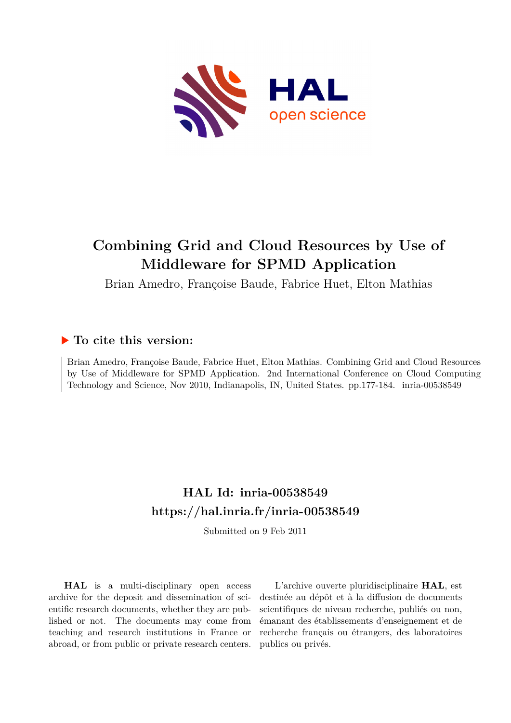

## **Combining Grid and Cloud Resources by Use of Middleware for SPMD Application**

Brian Amedro, Françoise Baude, Fabrice Huet, Elton Mathias

### **To cite this version:**

Brian Amedro, Françoise Baude, Fabrice Huet, Elton Mathias. Combining Grid and Cloud Resources by Use of Middleware for SPMD Application. 2nd International Conference on Cloud Computing Technology and Science, Nov 2010, Indianapolis, IN, United States. pp.177-184. inria-00538549

## **HAL Id: inria-00538549 <https://hal.inria.fr/inria-00538549>**

Submitted on 9 Feb 2011

**HAL** is a multi-disciplinary open access archive for the deposit and dissemination of scientific research documents, whether they are published or not. The documents may come from teaching and research institutions in France or abroad, or from public or private research centers.

L'archive ouverte pluridisciplinaire **HAL**, est destinée au dépôt et à la diffusion de documents scientifiques de niveau recherche, publiés ou non, émanant des établissements d'enseignement et de recherche français ou étrangers, des laboratoires publics ou privés.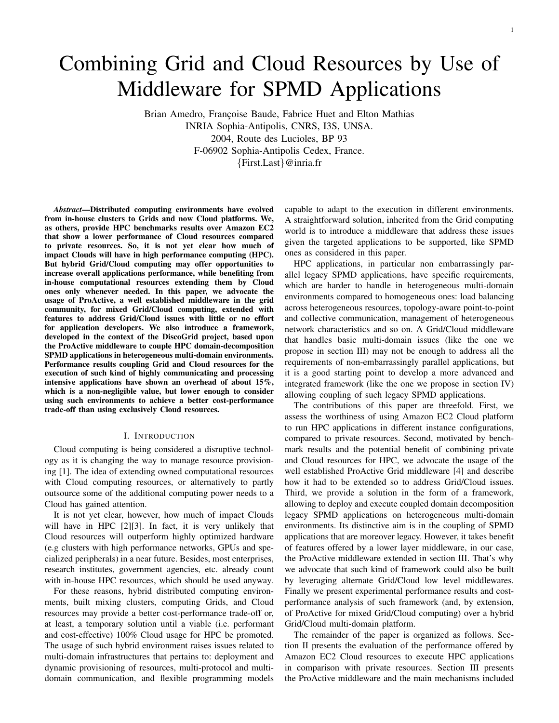# Combining Grid and Cloud Resources by Use of Middleware for SPMD Applications

Brian Amedro, Françoise Baude, Fabrice Huet and Elton Mathias INRIA Sophia-Antipolis, CNRS, I3S, UNSA. 2004, Route des Lucioles, BP 93 F-06902 Sophia-Antipolis Cedex, France. {First.Last}@inria.fr

*Abstract*—Distributed computing environments have evolved from in-house clusters to Grids and now Cloud platforms. We, as others, provide HPC benchmarks results over Amazon EC2 that show a lower performance of Cloud resources compared to private resources. So, it is not yet clear how much of impact Clouds will have in high performance computing (HPC). But hybrid Grid/Cloud computing may offer opportunities to increase overall applications performance, while benefiting from in-house computational resources extending them by Cloud ones only whenever needed. In this paper, we advocate the usage of ProActive, a well established middleware in the grid community, for mixed Grid/Cloud computing, extended with features to address Grid/Cloud issues with little or no effort for application developers. We also introduce a framework, developed in the context of the DiscoGrid project, based upon the ProActive middleware to couple HPC domain-decomposition SPMD applications in heterogeneous multi-domain environments. Performance results coupling Grid and Cloud resources for the execution of such kind of highly communicating and processing intensive applications have shown an overhead of about 15%, which is a non-negligible value, but lower enough to consider using such environments to achieve a better cost-performance trade-off than using exclusively Cloud resources.

#### I. INTRODUCTION

Cloud computing is being considered a disruptive technology as it is changing the way to manage resource provisioning [1]. The idea of extending owned computational resources with Cloud computing resources, or alternatively to partly outsource some of the additional computing power needs to a Cloud has gained attention.

It is not yet clear, however, how much of impact Clouds will have in HPC [2][3]. In fact, it is very unlikely that Cloud resources will outperform highly optimized hardware (e.g clusters with high performance networks, GPUs and specialized peripherals) in a near future. Besides, most enterprises, research institutes, government agencies, etc. already count with in-house HPC resources, which should be used anyway.

For these reasons, hybrid distributed computing environments, built mixing clusters, computing Grids, and Cloud resources may provide a better cost-performance trade-off or, at least, a temporary solution until a viable (i.e. performant and cost-effective) 100% Cloud usage for HPC be promoted. The usage of such hybrid environment raises issues related to multi-domain infrastructures that pertains to: deployment and dynamic provisioning of resources, multi-protocol and multidomain communication, and flexible programming models capable to adapt to the execution in different environments. A straightforward solution, inherited from the Grid computing world is to introduce a middleware that address these issues given the targeted applications to be supported, like SPMD ones as considered in this paper.

HPC applications, in particular non embarrassingly parallel legacy SPMD applications, have specific requirements, which are harder to handle in heterogeneous multi-domain environments compared to homogeneous ones: load balancing across heterogeneous resources, topology-aware point-to-point and collective communication, management of heterogeneous network characteristics and so on. A Grid/Cloud middleware that handles basic multi-domain issues (like the one we propose in section III) may not be enough to address all the requirements of non-embarrassingly parallel applications, but it is a good starting point to develop a more advanced and integrated framework (like the one we propose in section IV) allowing coupling of such legacy SPMD applications.

The contributions of this paper are threefold. First, we assess the worthiness of using Amazon EC2 Cloud platform to run HPC applications in different instance configurations, compared to private resources. Second, motivated by benchmark results and the potential benefit of combining private and Cloud resources for HPC, we advocate the usage of the well established ProActive Grid middleware [4] and describe how it had to be extended so to address Grid/Cloud issues. Third, we provide a solution in the form of a framework, allowing to deploy and execute coupled domain decomposition legacy SPMD applications on heterogeneous multi-domain environments. Its distinctive aim is in the coupling of SPMD applications that are moreover legacy. However, it takes benefit of features offered by a lower layer middleware, in our case, the ProActive middleware extended in section III. That's why we advocate that such kind of framework could also be built by leveraging alternate Grid/Cloud low level middlewares. Finally we present experimental performance results and costperformance analysis of such framework (and, by extension, of ProActive for mixed Grid/Cloud computing) over a hybrid Grid/Cloud multi-domain platform.

The remainder of the paper is organized as follows. Section II presents the evaluation of the performance offered by Amazon EC2 Cloud resources to execute HPC applications in comparison with private resources. Section III presents the ProActive middleware and the main mechanisms included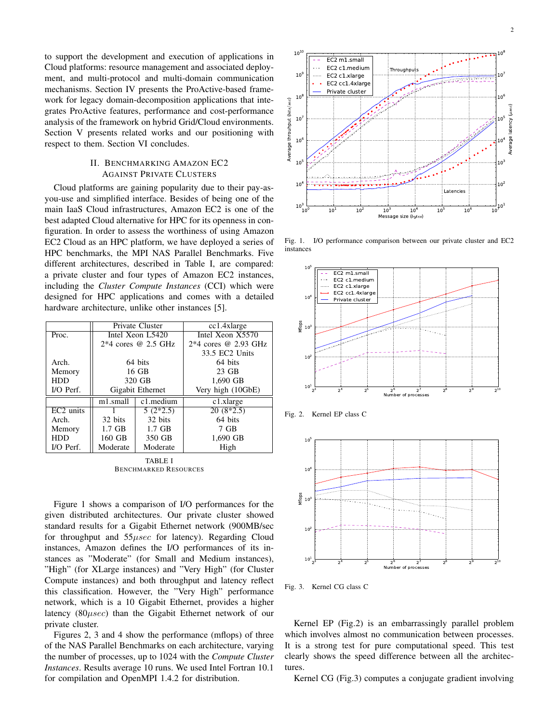to support the development and execution of applications in Cloud platforms: resource management and associated deployment, and multi-protocol and multi-domain communication mechanisms. Section IV presents the ProActive-based framework for legacy domain-decomposition applications that integrates ProActive features, performance and cost-performance analysis of the framework on hybrid Grid/Cloud environments. Section V presents related works and our positioning with respect to them. Section VI concludes.

#### II. BENCHMARKING AMAZON EC2 AGAINST PRIVATE CLUSTERS

Cloud platforms are gaining popularity due to their pay-asyou-use and simplified interface. Besides of being one of the main IaaS Cloud infrastructures, Amazon EC2 is one of the best adapted Cloud alternative for HPC for its openness in configuration. In order to assess the worthiness of using Amazon EC2 Cloud as an HPC platform, we have deployed a series of HPC benchmarks, the MPI NAS Parallel Benchmarks. Five different architectures, described in Table I, are compared: a private cluster and four types of Amazon EC2 instances, including the *Cluster Compute Instances* (CCI) which were designed for HPC applications and comes with a detailed hardware architecture, unlike other instances [5].

|             | Private Cluster       |            | cc1.4xlarge          |
|-------------|-----------------------|------------|----------------------|
| Proc.       | Intel Xeon L5420      |            | Intel Xeon X5570     |
|             | $2*4$ cores @ 2.5 GHz |            | 2*4 cores @ 2.93 GHz |
|             |                       |            | 33.5 EC2 Units       |
| Arch.       | 64 bits               |            | 64 bits              |
| Memory      | 16 GB                 |            | $23 \text{ GB}$      |
| <b>HDD</b>  | 320 GB                |            | 1,690 GB             |
| I/O Perf.   | Gigabit Ethernet      |            | Very high (10GbE)    |
|             | m1.small              | c1.medium  | c1.xlarge            |
| $EC2$ units |                       | $5(2*2.5)$ | $20(8*2.5)$          |
| Arch.       | 32 bits               | 32 bits    | 64 bits              |
| Memory      | $1.7$ GB              | $1.7$ GB   | 7 GB                 |
| <b>HDD</b>  | 160 GB                | 350 GB     | 1,690 GB             |
| I/O Perf.   | Moderate              | Moderate   | High                 |

TABLE I BENCHMARKED RESOURCES

Figure 1 shows a comparison of I/O performances for the given distributed architectures. Our private cluster showed standard results for a Gigabit Ethernet network (900MB/sec for throughput and  $55\mu sec$  for latency). Regarding Cloud instances, Amazon defines the I/O performances of its instances as "Moderate" (for Small and Medium instances), "High" (for XLarge instances) and "Very High" (for Cluster Compute instances) and both throughput and latency reflect this classification. However, the "Very High" performance network, which is a 10 Gigabit Ethernet, provides a higher latency  $(80\mu sec)$  than the Gigabit Ethernet network of our private cluster.

Figures 2, 3 and 4 show the performance (mflops) of three of the NAS Parallel Benchmarks on each architecture, varying the number of processes, up to 1024 with the *Compute Cluster Instances*. Results average 10 runs. We used Intel Fortran 10.1 for compilation and OpenMPI 1.4.2 for distribution.



Fig. 1. I/O performance comparison between our private cluster and EC2 instances



Fig. 2. Kernel EP class C



Fig. 3. Kernel CG class C

Kernel EP (Fig.2) is an embarrassingly parallel problem which involves almost no communication between processes. It is a strong test for pure computational speed. This test clearly shows the speed difference between all the architectures.

Kernel CG (Fig.3) computes a conjugate gradient involving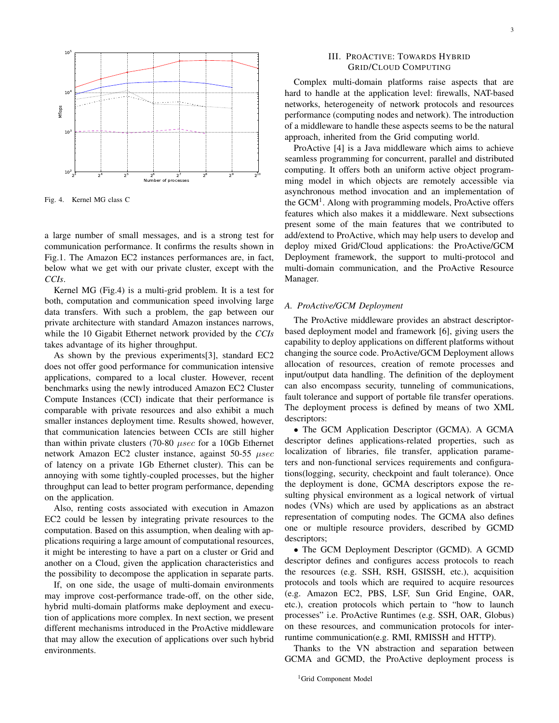

Fig. 4. Kernel MG class C

a large number of small messages, and is a strong test for communication performance. It confirms the results shown in Fig.1. The Amazon EC2 instances performances are, in fact, below what we get with our private cluster, except with the *CCIs*.

Kernel MG (Fig.4) is a multi-grid problem. It is a test for both, computation and communication speed involving large data transfers. With such a problem, the gap between our private architecture with standard Amazon instances narrows, while the 10 Gigabit Ethernet network provided by the *CCIs* takes advantage of its higher throughput.

As shown by the previous experiments[3], standard EC2 does not offer good performance for communication intensive applications, compared to a local cluster. However, recent benchmarks using the newly introduced Amazon EC2 Cluster Compute Instances (CCI) indicate that their performance is comparable with private resources and also exhibit a much smaller instances deployment time. Results showed, however, that communication latencies between CCIs are still higher than within private clusters (70-80  $\mu$ sec for a 10Gb Ethernet network Amazon EC2 cluster instance, against  $50-55$   $\mu$ sec of latency on a private 1Gb Ethernet cluster). This can be annoying with some tightly-coupled processes, but the higher throughput can lead to better program performance, depending on the application.

Also, renting costs associated with execution in Amazon EC2 could be lessen by integrating private resources to the computation. Based on this assumption, when dealing with applications requiring a large amount of computational resources, it might be interesting to have a part on a cluster or Grid and another on a Cloud, given the application characteristics and the possibility to decompose the application in separate parts.

If, on one side, the usage of multi-domain environments may improve cost-performance trade-off, on the other side, hybrid multi-domain platforms make deployment and execution of applications more complex. In next section, we present different mechanisms introduced in the ProActive middleware that may allow the execution of applications over such hybrid environments.

#### III. PROACTIVE: TOWARDS HYBRID GRID/CLOUD COMPUTING

Complex multi-domain platforms raise aspects that are hard to handle at the application level: firewalls, NAT-based networks, heterogeneity of network protocols and resources performance (computing nodes and network). The introduction of a middleware to handle these aspects seems to be the natural approach, inherited from the Grid computing world.

ProActive [4] is a Java middleware which aims to achieve seamless programming for concurrent, parallel and distributed computing. It offers both an uniform active object programming model in which objects are remotely accessible via asynchronous method invocation and an implementation of the GCM<sup>1</sup>. Along with programming models, ProActive offers features which also makes it a middleware. Next subsections present some of the main features that we contributed to add/extend to ProActive, which may help users to develop and deploy mixed Grid/Cloud applications: the ProActive/GCM Deployment framework, the support to multi-protocol and multi-domain communication, and the ProActive Resource Manager.

#### *A. ProActive/GCM Deployment*

The ProActive middleware provides an abstract descriptorbased deployment model and framework [6], giving users the capability to deploy applications on different platforms without changing the source code. ProActive/GCM Deployment allows allocation of resources, creation of remote processes and input/output data handling. The definition of the deployment can also encompass security, tunneling of communications, fault tolerance and support of portable file transfer operations. The deployment process is defined by means of two XML descriptors:

• The GCM Application Descriptor (GCMA). A GCMA descriptor defines applications-related properties, such as localization of libraries, file transfer, application parameters and non-functional services requirements and configurations(logging, security, checkpoint and fault tolerance). Once the deployment is done, GCMA descriptors expose the resulting physical environment as a logical network of virtual nodes (VNs) which are used by applications as an abstract representation of computing nodes. The GCMA also defines one or multiple resource providers, described by GCMD descriptors;

• The GCM Deployment Descriptor (GCMD). A GCMD descriptor defines and configures access protocols to reach the resources (e.g. SSH, RSH, GSISSH, etc.), acquisition protocols and tools which are required to acquire resources (e.g. Amazon EC2, PBS, LSF, Sun Grid Engine, OAR, etc.), creation protocols which pertain to "how to launch processes" i.e. ProActive Runtimes (e.g. SSH, OAR, Globus) on these resources, and communication protocols for interruntime communication(e.g. RMI, RMISSH and HTTP).

Thanks to the VN abstraction and separation between GCMA and GCMD, the ProActive deployment process is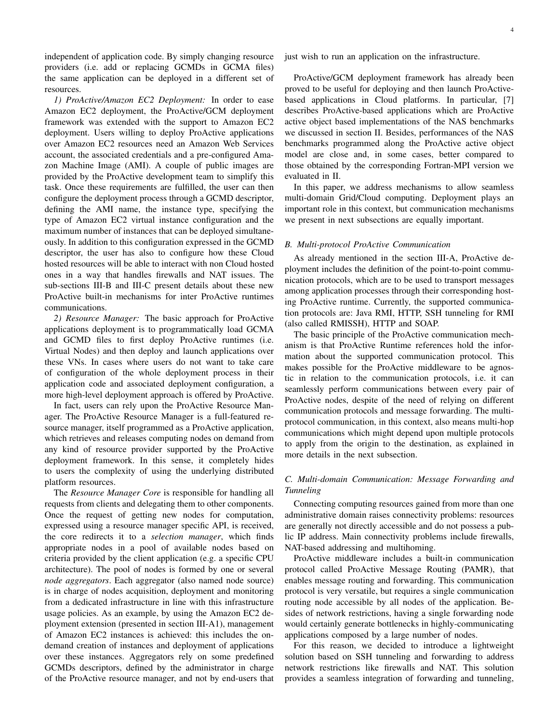independent of application code. By simply changing resource providers (i.e. add or replacing GCMDs in GCMA files) the same application can be deployed in a different set of resources.

*1) ProActive/Amazon EC2 Deployment:* In order to ease Amazon EC2 deployment, the ProActive/GCM deployment framework was extended with the support to Amazon EC2 deployment. Users willing to deploy ProActive applications over Amazon EC2 resources need an Amazon Web Services account, the associated credentials and a pre-configured Amazon Machine Image (AMI). A couple of public images are provided by the ProActive development team to simplify this task. Once these requirements are fulfilled, the user can then configure the deployment process through a GCMD descriptor, defining the AMI name, the instance type, specifying the type of Amazon EC2 virtual instance configuration and the maximum number of instances that can be deployed simultaneously. In addition to this configuration expressed in the GCMD descriptor, the user has also to configure how these Cloud hosted resources will be able to interact with non Cloud hosted ones in a way that handles firewalls and NAT issues. The sub-sections III-B and III-C present details about these new ProActive built-in mechanisms for inter ProActive runtimes communications.

*2) Resource Manager:* The basic approach for ProActive applications deployment is to programmatically load GCMA and GCMD files to first deploy ProActive runtimes (i.e. Virtual Nodes) and then deploy and launch applications over these VNs. In cases where users do not want to take care of configuration of the whole deployment process in their application code and associated deployment configuration, a more high-level deployment approach is offered by ProActive.

In fact, users can rely upon the ProActive Resource Manager. The ProActive Resource Manager is a full-featured resource manager, itself programmed as a ProActive application, which retrieves and releases computing nodes on demand from any kind of resource provider supported by the ProActive deployment framework. In this sense, it completely hides to users the complexity of using the underlying distributed platform resources.

The *Resource Manager Core* is responsible for handling all requests from clients and delegating them to other components. Once the request of getting new nodes for computation, expressed using a resource manager specific API, is received, the core redirects it to a *selection manager*, which finds appropriate nodes in a pool of available nodes based on criteria provided by the client application (e.g. a specific CPU architecture). The pool of nodes is formed by one or several *node aggregators*. Each aggregator (also named node source) is in charge of nodes acquisition, deployment and monitoring from a dedicated infrastructure in line with this infrastructure usage policies. As an example, by using the Amazon EC2 deployment extension (presented in section III-A1), management of Amazon EC2 instances is achieved: this includes the ondemand creation of instances and deployment of applications over these instances. Aggregators rely on some predefined GCMDs descriptors, defined by the administrator in charge of the ProActive resource manager, and not by end-users that just wish to run an application on the infrastructure.

ProActive/GCM deployment framework has already been proved to be useful for deploying and then launch ProActivebased applications in Cloud platforms. In particular, [7] describes ProActive-based applications which are ProActive active object based implementations of the NAS benchmarks we discussed in section II. Besides, performances of the NAS benchmarks programmed along the ProActive active object model are close and, in some cases, better compared to those obtained by the corresponding Fortran-MPI version we evaluated in II.

In this paper, we address mechanisms to allow seamless multi-domain Grid/Cloud computing. Deployment plays an important role in this context, but communication mechanisms we present in next subsections are equally important.

#### *B. Multi-protocol ProActive Communication*

As already mentioned in the section III-A, ProActive deployment includes the definition of the point-to-point communication protocols, which are to be used to transport messages among application processes through their corresponding hosting ProActive runtime. Currently, the supported communication protocols are: Java RMI, HTTP, SSH tunneling for RMI (also called RMISSH), HTTP and SOAP.

The basic principle of the ProActive communication mechanism is that ProActive Runtime references hold the information about the supported communication protocol. This makes possible for the ProActive middleware to be agnostic in relation to the communication protocols, i.e. it can seamlessly perform communications between every pair of ProActive nodes, despite of the need of relying on different communication protocols and message forwarding. The multiprotocol communication, in this context, also means multi-hop communications which might depend upon multiple protocols to apply from the origin to the destination, as explained in more details in the next subsection.

#### *C. Multi-domain Communication: Message Forwarding and Tunneling*

Connecting computing resources gained from more than one administrative domain raises connectivity problems: resources are generally not directly accessible and do not possess a public IP address. Main connectivity problems include firewalls, NAT-based addressing and multihoming.

ProActive middleware includes a built-in communication protocol called ProActive Message Routing (PAMR), that enables message routing and forwarding. This communication protocol is very versatile, but requires a single communication routing node accessible by all nodes of the application. Besides of network restrictions, having a single forwarding node would certainly generate bottlenecks in highly-communicating applications composed by a large number of nodes.

For this reason, we decided to introduce a lightweight solution based on SSH tunneling and forwarding to address network restrictions like firewalls and NAT. This solution provides a seamless integration of forwarding and tunneling,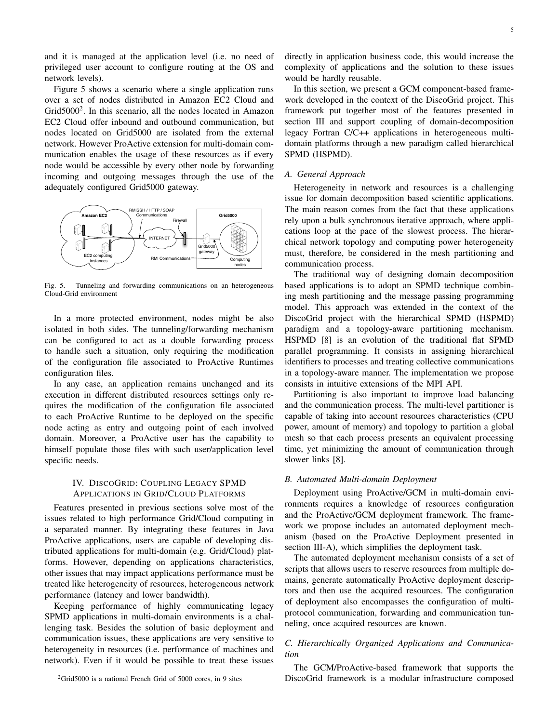and it is managed at the application level (i.e. no need of privileged user account to configure routing at the OS and network levels).

Figure 5 shows a scenario where a single application runs over a set of nodes distributed in Amazon EC2 Cloud and Grid5000<sup>2</sup>. In this scenario, all the nodes located in Amazon EC2 Cloud offer inbound and outbound communication, but nodes located on Grid5000 are isolated from the external network. However ProActive extension for multi-domain communication enables the usage of these resources as if every node would be accessible by every other node by forwarding incoming and outgoing messages through the use of the adequately configured Grid5000 gateway.



Fig. 5. Tunneling and forwarding communications on an heterogeneous Cloud-Grid environment

In a more protected environment, nodes might be also isolated in both sides. The tunneling/forwarding mechanism can be configured to act as a double forwarding process to handle such a situation, only requiring the modification of the configuration file associated to ProActive Runtimes configuration files.

In any case, an application remains unchanged and its execution in different distributed resources settings only requires the modification of the configuration file associated to each ProActive Runtime to be deployed on the specific node acting as entry and outgoing point of each involved domain. Moreover, a ProActive user has the capability to himself populate those files with such user/application level specific needs.

#### IV. DISCOGRID: COUPLING LEGACY SPMD APPLICATIONS IN GRID/CLOUD PLATFORMS

Features presented in previous sections solve most of the issues related to high performance Grid/Cloud computing in a separated manner. By integrating these features in Java ProActive applications, users are capable of developing distributed applications for multi-domain (e.g. Grid/Cloud) platforms. However, depending on applications characteristics, other issues that may impact applications performance must be treated like heterogeneity of resources, heterogeneous network performance (latency and lower bandwidth).

Keeping performance of highly communicating legacy SPMD applications in multi-domain environments is a challenging task. Besides the solution of basic deployment and communication issues, these applications are very sensitive to heterogeneity in resources (i.e. performance of machines and network). Even if it would be possible to treat these issues

 $2$ Grid5000 is a national French Grid of 5000 cores, in 9 sites

directly in application business code, this would increase the complexity of applications and the solution to these issues would be hardly reusable.

In this section, we present a GCM component-based framework developed in the context of the DiscoGrid project. This framework put together most of the features presented in section III and support coupling of domain-decomposition legacy Fortran C/C++ applications in heterogeneous multidomain platforms through a new paradigm called hierarchical SPMD (HSPMD).

#### *A. General Approach*

Heterogeneity in network and resources is a challenging issue for domain decomposition based scientific applications. The main reason comes from the fact that these applications rely upon a bulk synchronous iterative approach, where applications loop at the pace of the slowest process. The hierarchical network topology and computing power heterogeneity must, therefore, be considered in the mesh partitioning and communication process.

The traditional way of designing domain decomposition based applications is to adopt an SPMD technique combining mesh partitioning and the message passing programming model. This approach was extended in the context of the DiscoGrid project with the hierarchical SPMD (HSPMD) paradigm and a topology-aware partitioning mechanism. HSPMD [8] is an evolution of the traditional flat SPMD parallel programming. It consists in assigning hierarchical identifiers to processes and treating collective communications in a topology-aware manner. The implementation we propose consists in intuitive extensions of the MPI API.

Partitioning is also important to improve load balancing and the communication process. The multi-level partitioner is capable of taking into account resources characteristics (CPU power, amount of memory) and topology to partition a global mesh so that each process presents an equivalent processing time, yet minimizing the amount of communication through slower links [8].

#### *B. Automated Multi-domain Deployment*

Deployment using ProActive/GCM in multi-domain environments requires a knowledge of resources configuration and the ProActive/GCM deployment framework. The framework we propose includes an automated deployment mechanism (based on the ProActive Deployment presented in section III-A), which simplifies the deployment task.

The automated deployment mechanism consists of a set of scripts that allows users to reserve resources from multiple domains, generate automatically ProActive deployment descriptors and then use the acquired resources. The configuration of deployment also encompasses the configuration of multiprotocol communication, forwarding and communication tunneling, once acquired resources are known.

#### *C. Hierarchically Organized Applications and Communication*

The GCM/ProActive-based framework that supports the DiscoGrid framework is a modular infrastructure composed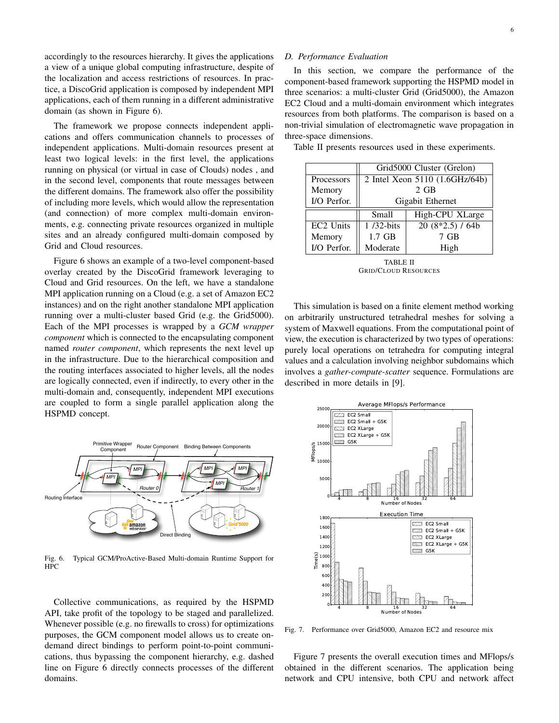accordingly to the resources hierarchy. It gives the applications a view of a unique global computing infrastructure, despite of the localization and access restrictions of resources. In practice, a DiscoGrid application is composed by independent MPI applications, each of them running in a different administrative domain (as shown in Figure 6).

The framework we propose connects independent applications and offers communication channels to processes of independent applications. Multi-domain resources present at least two logical levels: in the first level, the applications running on physical (or virtual in case of Clouds) nodes , and in the second level, components that route messages between the different domains. The framework also offer the possibility of including more levels, which would allow the representation (and connection) of more complex multi-domain environments, e.g. connecting private resources organized in multiple sites and an already configured multi-domain composed by Grid and Cloud resources.

Figure 6 shows an example of a two-level component-based overlay created by the DiscoGrid framework leveraging to Cloud and Grid resources. On the left, we have a standalone MPI application running on a Cloud (e.g. a set of Amazon EC2 instances) and on the right another standalone MPI application running over a multi-cluster based Grid (e.g. the Grid5000). Each of the MPI processes is wrapped by a *GCM wrapper component* which is connected to the encapsulating component named *router component*, which represents the next level up in the infrastructure. Due to the hierarchical composition and the routing interfaces associated to higher levels, all the nodes are logically connected, even if indirectly, to every other in the multi-domain and, consequently, independent MPI executions are coupled to form a single parallel application along the HSPMD concept.



Fig. 6. Typical GCM/ProActive-Based Multi-domain Runtime Support for HPC

Collective communications, as required by the HSPMD API, take profit of the topology to be staged and parallelized. Whenever possible (e.g. no firewalls to cross) for optimizations purposes, the GCM component model allows us to create ondemand direct bindings to perform point-to-point communications, thus bypassing the component hierarchy, e.g. dashed line on Figure 6 directly connects processes of the different domains.

#### *D. Performance Evaluation*

In this section, we compare the performance of the component-based framework supporting the HSPMD model in three scenarios: a multi-cluster Grid (Grid5000), the Amazon EC2 Cloud and a multi-domain environment which integrates resources from both platforms. The comparison is based on a non-trivial simulation of electromagnetic wave propagation in three-space dimensions.

Table II presents resources used in these experiments.

|             |                | Grid5000 Cluster (Grelon)      |  |
|-------------|----------------|--------------------------------|--|
| Processors  |                | 2 Intel Xeon 5110 (1.6GHz/64b) |  |
| Memory      | $2 \text{ GB}$ |                                |  |
| I/O Perfor. |                | Gigabit Ethernet               |  |
|             | <b>Small</b>   | High-CPU XLarge                |  |
| EC2 Units   | $1/32$ -bits   | $20(8*2.5) / 64b$              |  |
| Memory      | $1.7$ GB       | $7$ GB                         |  |
| I/O Perfor. | Moderate       | High                           |  |

TABLE II GRID/CLOUD RESOURCES

This simulation is based on a finite element method working on arbitrarily unstructured tetrahedral meshes for solving a system of Maxwell equations. From the computational point of view, the execution is characterized by two types of operations: purely local operations on tetrahedra for computing integral values and a calculation involving neighbor subdomains which involves a *gather-compute-scatter* sequence. Formulations are described in more details in [9].



Fig. 7. Performance over Grid5000, Amazon EC2 and resource mix

Figure 7 presents the overall execution times and MFlops/s obtained in the different scenarios. The application being network and CPU intensive, both CPU and network affect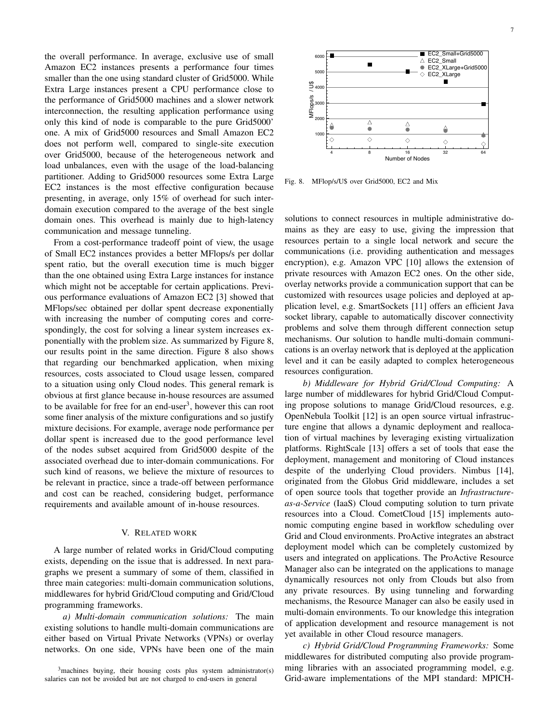the overall performance. In average, exclusive use of small Amazon EC2 instances presents a performance four times smaller than the one using standard cluster of Grid5000. While Extra Large instances present a CPU performance close to the performance of Grid5000 machines and a slower network interconnection, the resulting application performance using only this kind of node is comparable to the pure Grid5000' one. A mix of Grid5000 resources and Small Amazon EC2 does not perform well, compared to single-site execution over Grid5000, because of the heterogeneous network and load unbalances, even with the usage of the load-balancing partitioner. Adding to Grid5000 resources some Extra Large EC2 instances is the most effective configuration because presenting, in average, only 15% of overhead for such interdomain execution compared to the average of the best single domain ones. This overhead is mainly due to high-latency communication and message tunneling.

From a cost-performance tradeoff point of view, the usage of Small EC2 instances provides a better MFlops/s per dollar spent ratio, but the overall execution time is much bigger than the one obtained using Extra Large instances for instance which might not be acceptable for certain applications. Previous performance evaluations of Amazon EC2 [3] showed that MFlops/sec obtained per dollar spent decrease exponentially with increasing the number of computing cores and correspondingly, the cost for solving a linear system increases exponentially with the problem size. As summarized by Figure 8, our results point in the same direction. Figure 8 also shows that regarding our benchmarked application, when mixing resources, costs associated to Cloud usage lessen, compared to a situation using only Cloud nodes. This general remark is obvious at first glance because in-house resources are assumed to be available for free for an end-user<sup>3</sup>, however this can root some finer analysis of the mixture configurations and so justify mixture decisions. For example, average node performance per dollar spent is increased due to the good performance level of the nodes subset acquired from Grid5000 despite of the associated overhead due to inter-domain communications. For such kind of reasons, we believe the mixture of resources to be relevant in practice, since a trade-off between performance and cost can be reached, considering budget, performance requirements and available amount of in-house resources.

#### V. RELATED WORK

A large number of related works in Grid/Cloud computing exists, depending on the issue that is addressed. In next paragraphs we present a summary of some of them, classified in three main categories: multi-domain communication solutions, middlewares for hybrid Grid/Cloud computing and Grid/Cloud programming frameworks.

*a) Multi-domain communication solutions:* The main existing solutions to handle multi-domain communications are either based on Virtual Private Networks (VPNs) or overlay networks. On one side, VPNs have been one of the main



Fig. 8. MFlop/s/U\$ over Grid5000, EC2 and Mix

solutions to connect resources in multiple administrative domains as they are easy to use, giving the impression that resources pertain to a single local network and secure the communications (i.e. providing authentication and messages encryption), e.g. Amazon VPC [10] allows the extension of private resources with Amazon EC2 ones. On the other side, overlay networks provide a communication support that can be customized with resources usage policies and deployed at application level, e.g. SmartSockets [11] offers an efficient Java socket library, capable to automatically discover connectivity problems and solve them through different connection setup mechanisms. Our solution to handle multi-domain communications is an overlay network that is deployed at the application level and it can be easily adapted to complex heterogeneous resources configuration.

*b) Middleware for Hybrid Grid/Cloud Computing:* A large number of middlewares for hybrid Grid/Cloud Computing propose solutions to manage Grid/Cloud resources, e.g. OpenNebula Toolkit [12] is an open source virtual infrastructure engine that allows a dynamic deployment and reallocation of virtual machines by leveraging existing virtualization platforms. RightScale [13] offers a set of tools that ease the deployment, management and monitoring of Cloud instances despite of the underlying Cloud providers. Nimbus [14], originated from the Globus Grid middleware, includes a set of open source tools that together provide an *Infrastructureas-a-Service* (IaaS) Cloud computing solution to turn private resources into a Cloud. CometCloud [15] implements autonomic computing engine based in workflow scheduling over Grid and Cloud environments. ProActive integrates an abstract deployment model which can be completely customized by users and integrated on applications. The ProActive Resource Manager also can be integrated on the applications to manage dynamically resources not only from Clouds but also from any private resources. By using tunneling and forwarding mechanisms, the Resource Manager can also be easily used in multi-domain environments. To our knowledge this integration of application development and resource management is not yet available in other Cloud resource managers.

*c) Hybrid Grid/Cloud Programming Frameworks:* Some middlewares for distributed computing also provide programming libraries with an associated programming model, e.g. Grid-aware implementations of the MPI standard: MPICH-

 $3$ machines buying, their housing costs plus system administrator(s) salaries can not be avoided but are not charged to end-users in general